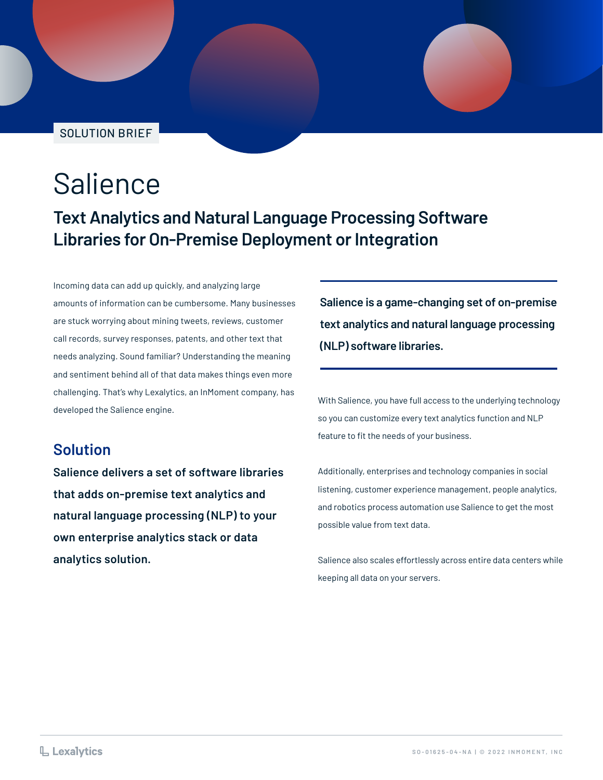SOLUTION BRIEF

## Salience

**Text Analytics and Natural Language Processing Software Libraries for On-Premise Deployment or Integration**

Incoming data can add up quickly, and analyzing large amounts of information can be cumbersome. Many businesses are stuck worrying about mining tweets, reviews, customer call records, survey responses, patents, and other text that needs analyzing. Sound familiar? Understanding the meaning and sentiment behind all of that data makes things even more challenging. That's why Lexalytics, an InMoment company, has developed the Salience engine.

#### **Solution**

**Salience delivers a set of software libraries that adds on-premise text analytics and natural language processing (NLP) to your own enterprise analytics stack or data analytics solution.**

**Salience is a game-changing set of on-premise text analytics and natural language processing (NLP) software libraries.**

With Salience, you have full access to the underlying technology so you can customize every text analytics function and NLP feature to fit the needs of your business.

Additionally, enterprises and technology companies in social listening, customer experience management, people analytics, and robotics process automation use Salience to get the most possible value from text data.

Salience also scales effortlessly across entire data centers while keeping all data on your servers.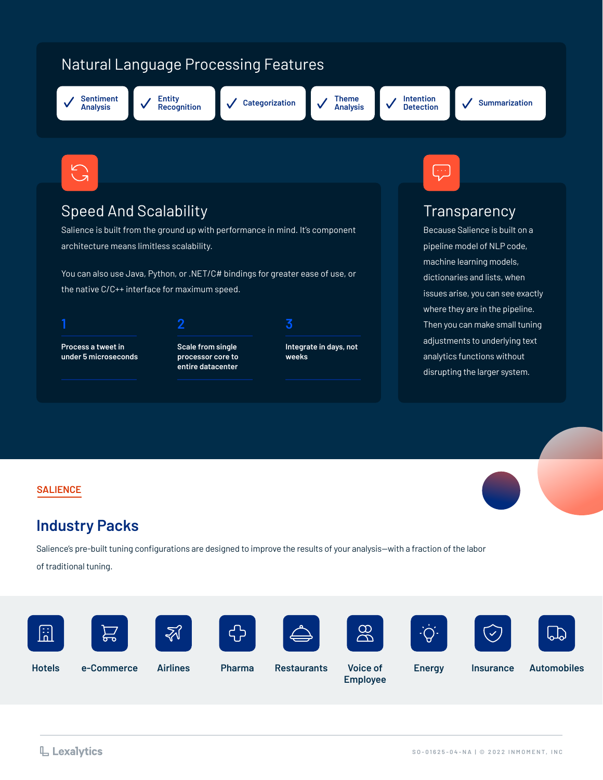### Natural Language Processing Features



**Entity** 





**Intention** 





#### Speed And Scalability

Salience is built from the ground up with performance in mind. It's component architecture means limitless scalability.

You can also use Java, Python, or .NET/C# bindings for greater ease of use, or the native C/C++ interface for maximum speed.

**Process a tweet in 1 2**

**under 5 microseconds**



**Scale from single processor core to entire datacenter**

**3**

**Integrate in days, not weeks**



#### **Transparency**

Because Salience is built on a pipeline model of NLP code, machine learning models, dictionaries and lists, when issues arise, you can see exactly where they are in the pipeline. Then you can make small tuning adjustments to underlying text analytics functions without disrupting the larger system.

#### **SALIENCE**

#### **Industry Packs**

Salience's pre-built tuning configurations are designed to improve the results of your analysis—with a fraction of the labor

of traditional tuning.



**Employee**